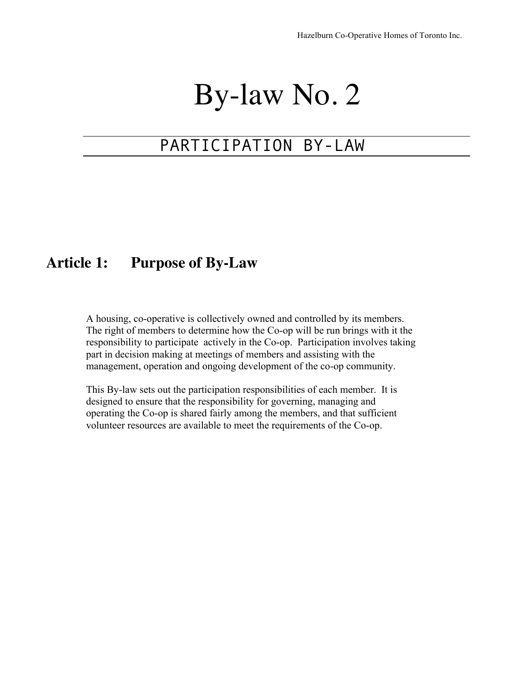# By-law No. 2

## PARTICIPATION BY-LAW

### **Article 1: Purpose of By-Law**

A housing, co-operative is collectively owned and controlled by its members. The right of members to determine how the Co-op will be run brings with it the responsibility to participate actively in the Co-op. Participation involves taking part in decision making at meetings of members and assisting with the management, operation and ongoing development of the co-op community.

This By-law sets out the participation responsibilities of each member. It is designed to ensure that the responsibility for governing, managing and operating the Co-op is shared fairly among the members, and that sufficient volunteer resources are available to meet the requirements of the Co-op.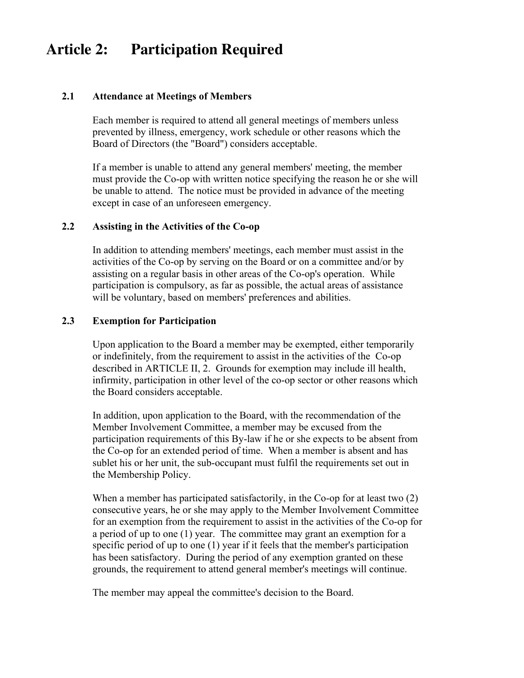### **Article 2: Participation Required**

#### **2.1 Attendance at Meetings of Members**

Each member is required to attend all general meetings of members unless prevented by illness, emergency, work schedule or other reasons which the Board of Directors (the "Board") considers acceptable.

If a member is unable to attend any general members' meeting, the member must provide the Co-op with written notice specifying the reason he or she will be unable to attend. The notice must be provided in advance of the meeting except in case of an unforeseen emergency.

### **2.2 Assisting in the Activities of the Co-op**

In addition to attending members' meetings, each member must assist in the activities of the Co-op by serving on the Board or on a committee and/or by assisting on a regular basis in other areas of the Co-op's operation. While participation is compulsory, as far as possible, the actual areas of assistance will be voluntary, based on members' preferences and abilities.

### **2.3 Exemption for Participation**

Upon application to the Board a member may be exempted, either temporarily or indefinitely, from the requirement to assist in the activities of the Co-op described in ARTICLE II, 2. Grounds for exemption may include ill health, infirmity, participation in other level of the co-op sector or other reasons which the Board considers acceptable.

In addition, upon application to the Board, with the recommendation of the Member Involvement Committee, a member may be excused from the participation requirements of this By-law if he or she expects to be absent from the Co-op for an extended period of time. When a member is absent and has sublet his or her unit, the sub-occupant must fulfil the requirements set out in the Membership Policy.

When a member has participated satisfactorily, in the Co-op for at least two (2) consecutive years, he or she may apply to the Member Involvement Committee for an exemption from the requirement to assist in the activities of the Co-op for a period of up to one (1) year. The committee may grant an exemption for a specific period of up to one (1) year if it feels that the member's participation has been satisfactory. During the period of any exemption granted on these grounds, the requirement to attend general member's meetings will continue.

The member may appeal the committee's decision to the Board.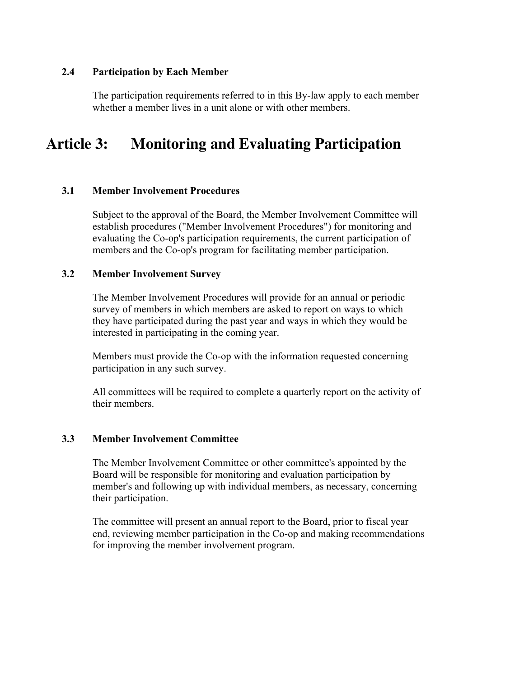### **2.4 Participation by Each Member**

The participation requirements referred to in this By-law apply to each member whether a member lives in a unit alone or with other members.

### **Article 3: Monitoring and Evaluating Participation**

### **3.1 Member Involvement Procedures**

Subject to the approval of the Board, the Member Involvement Committee will establish procedures ("Member Involvement Procedures") for monitoring and evaluating the Co-op's participation requirements, the current participation of members and the Co-op's program for facilitating member participation.

#### **3.2 Member Involvement Survey**

The Member Involvement Procedures will provide for an annual or periodic survey of members in which members are asked to report on ways to which they have participated during the past year and ways in which they would be interested in participating in the coming year.

Members must provide the Co-op with the information requested concerning participation in any such survey.

All committees will be required to complete a quarterly report on the activity of their members.

#### **3.3 Member Involvement Committee**

The Member Involvement Committee or other committee's appointed by the Board will be responsible for monitoring and evaluation participation by member's and following up with individual members, as necessary, concerning their participation.

The committee will present an annual report to the Board, prior to fiscal year end, reviewing member participation in the Co-op and making recommendations for improving the member involvement program.